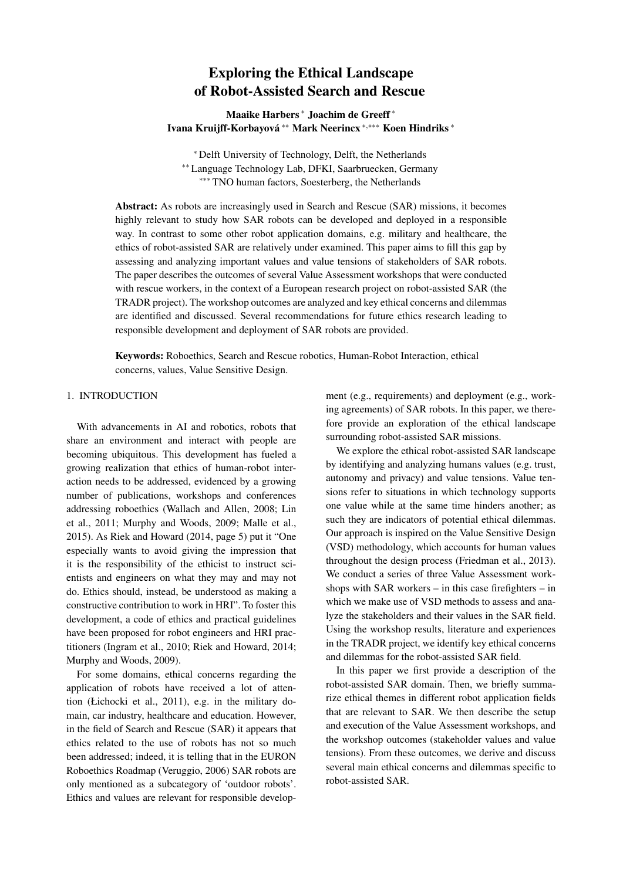# Exploring the Ethical Landscape of Robot-Assisted Search and Rescue

Maaike Harbers <sup>∗</sup> Joachim de Greeff <sup>∗</sup> Ivana Kruijff-Korbayová \*\* Mark Neerincx \*,\*\*\* Koen Hindriks \*

<sup>∗</sup> Delft University of Technology, Delft, the Netherlands ∗∗ Language Technology Lab, DFKI, Saarbruecken, Germany ∗∗∗ TNO human factors, Soesterberg, the Netherlands

Abstract: As robots are increasingly used in Search and Rescue (SAR) missions, it becomes highly relevant to study how SAR robots can be developed and deployed in a responsible way. In contrast to some other robot application domains, e.g. military and healthcare, the ethics of robot-assisted SAR are relatively under examined. This paper aims to fill this gap by assessing and analyzing important values and value tensions of stakeholders of SAR robots. The paper describes the outcomes of several Value Assessment workshops that were conducted with rescue workers, in the context of a European research project on robot-assisted SAR (the TRADR project). The workshop outcomes are analyzed and key ethical concerns and dilemmas are identified and discussed. Several recommendations for future ethics research leading to responsible development and deployment of SAR robots are provided.

Keywords: Roboethics, Search and Rescue robotics, Human-Robot Interaction, ethical concerns, values, Value Sensitive Design.

# 1. INTRODUCTION

With advancements in AI and robotics, robots that share an environment and interact with people are becoming ubiquitous. This development has fueled a growing realization that ethics of human-robot interaction needs to be addressed, evidenced by a growing number of publications, workshops and conferences addressing roboethics (Wallach and Allen, 2008; Lin et al., 2011; Murphy and Woods, 2009; Malle et al., 2015). As Riek and Howard (2014, page 5) put it "One especially wants to avoid giving the impression that it is the responsibility of the ethicist to instruct scientists and engineers on what they may and may not do. Ethics should, instead, be understood as making a constructive contribution to work in HRI". To foster this development, a code of ethics and practical guidelines have been proposed for robot engineers and HRI practitioners (Ingram et al., 2010; Riek and Howard, 2014; Murphy and Woods, 2009).

For some domains, ethical concerns regarding the application of robots have received a lot of attention (Łichocki et al., 2011), e.g. in the military domain, car industry, healthcare and education. However, in the field of Search and Rescue (SAR) it appears that ethics related to the use of robots has not so much been addressed; indeed, it is telling that in the EURON Roboethics Roadmap (Veruggio, 2006) SAR robots are only mentioned as a subcategory of 'outdoor robots'. Ethics and values are relevant for responsible development (e.g., requirements) and deployment (e.g., working agreements) of SAR robots. In this paper, we therefore provide an exploration of the ethical landscape surrounding robot-assisted SAR missions.

We explore the ethical robot-assisted SAR landscape by identifying and analyzing humans values (e.g. trust, autonomy and privacy) and value tensions. Value tensions refer to situations in which technology supports one value while at the same time hinders another; as such they are indicators of potential ethical dilemmas. Our approach is inspired on the Value Sensitive Design (VSD) methodology, which accounts for human values throughout the design process (Friedman et al., 2013). We conduct a series of three Value Assessment workshops with SAR workers – in this case firefighters – in which we make use of VSD methods to assess and analyze the stakeholders and their values in the SAR field. Using the workshop results, literature and experiences in the TRADR project, we identify key ethical concerns and dilemmas for the robot-assisted SAR field.

In this paper we first provide a description of the robot-assisted SAR domain. Then, we briefly summarize ethical themes in different robot application fields that are relevant to SAR. We then describe the setup and execution of the Value Assessment workshops, and the workshop outcomes (stakeholder values and value tensions). From these outcomes, we derive and discuss several main ethical concerns and dilemmas specific to robot-assisted SAR.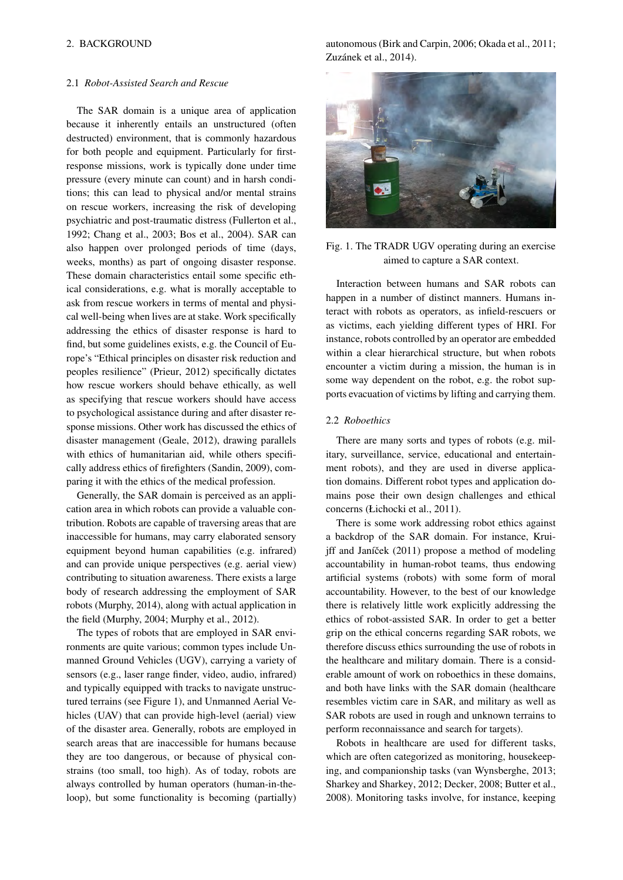# 2.1 *Robot-Assisted Search and Rescue*

The SAR domain is a unique area of application because it inherently entails an unstructured (often destructed) environment, that is commonly hazardous for both people and equipment. Particularly for firstresponse missions, work is typically done under time pressure (every minute can count) and in harsh conditions; this can lead to physical and/or mental strains on rescue workers, increasing the risk of developing psychiatric and post-traumatic distress (Fullerton et al., 1992; Chang et al., 2003; Bos et al., 2004). SAR can also happen over prolonged periods of time (days, weeks, months) as part of ongoing disaster response. These domain characteristics entail some specific ethical considerations, e.g. what is morally acceptable to ask from rescue workers in terms of mental and physical well-being when lives are at stake. Work specifically addressing the ethics of disaster response is hard to find, but some guidelines exists, e.g. the Council of Europe's "Ethical principles on disaster risk reduction and peoples resilience" (Prieur, 2012) specifically dictates how rescue workers should behave ethically, as well as specifying that rescue workers should have access to psychological assistance during and after disaster response missions. Other work has discussed the ethics of disaster management (Geale, 2012), drawing parallels with ethics of humanitarian aid, while others specifically address ethics of firefighters (Sandin, 2009), comparing it with the ethics of the medical profession.

Generally, the SAR domain is perceived as an application area in which robots can provide a valuable contribution. Robots are capable of traversing areas that are inaccessible for humans, may carry elaborated sensory equipment beyond human capabilities (e.g. infrared) and can provide unique perspectives (e.g. aerial view) contributing to situation awareness. There exists a large body of research addressing the employment of SAR robots (Murphy, 2014), along with actual application in the field (Murphy, 2004; Murphy et al., 2012).

The types of robots that are employed in SAR environments are quite various; common types include Unmanned Ground Vehicles (UGV), carrying a variety of sensors (e.g., laser range finder, video, audio, infrared) and typically equipped with tracks to navigate unstructured terrains (see Figure 1), and Unmanned Aerial Vehicles (UAV) that can provide high-level (aerial) view of the disaster area. Generally, robots are employed in search areas that are inaccessible for humans because they are too dangerous, or because of physical constrains (too small, too high). As of today, robots are always controlled by human operators (human-in-theloop), but some functionality is becoming (partially) autonomous (Birk and Carpin, 2006; Okada et al., 2011; Zuzánek et al., 2014).



Fig. 1. The TRADR UGV operating during an exercise aimed to capture a SAR context.

Interaction between humans and SAR robots can happen in a number of distinct manners. Humans interact with robots as operators, as infield-rescuers or as victims, each yielding different types of HRI. For instance, robots controlled by an operator are embedded within a clear hierarchical structure, but when robots encounter a victim during a mission, the human is in some way dependent on the robot, e.g. the robot supports evacuation of victims by lifting and carrying them.

#### 2.2 *Roboethics*

There are many sorts and types of robots (e.g. military, surveillance, service, educational and entertainment robots), and they are used in diverse application domains. Different robot types and application domains pose their own design challenges and ethical concerns (Łichocki et al., 2011).

There is some work addressing robot ethics against a backdrop of the SAR domain. For instance, Kruijff and Janíček  $(2011)$  propose a method of modeling accountability in human-robot teams, thus endowing artificial systems (robots) with some form of moral accountability. However, to the best of our knowledge there is relatively little work explicitly addressing the ethics of robot-assisted SAR. In order to get a better grip on the ethical concerns regarding SAR robots, we therefore discuss ethics surrounding the use of robots in the healthcare and military domain. There is a considerable amount of work on roboethics in these domains, and both have links with the SAR domain (healthcare resembles victim care in SAR, and military as well as SAR robots are used in rough and unknown terrains to perform reconnaissance and search for targets).

Robots in healthcare are used for different tasks, which are often categorized as monitoring, housekeeping, and companionship tasks (van Wynsberghe, 2013; Sharkey and Sharkey, 2012; Decker, 2008; Butter et al., 2008). Monitoring tasks involve, for instance, keeping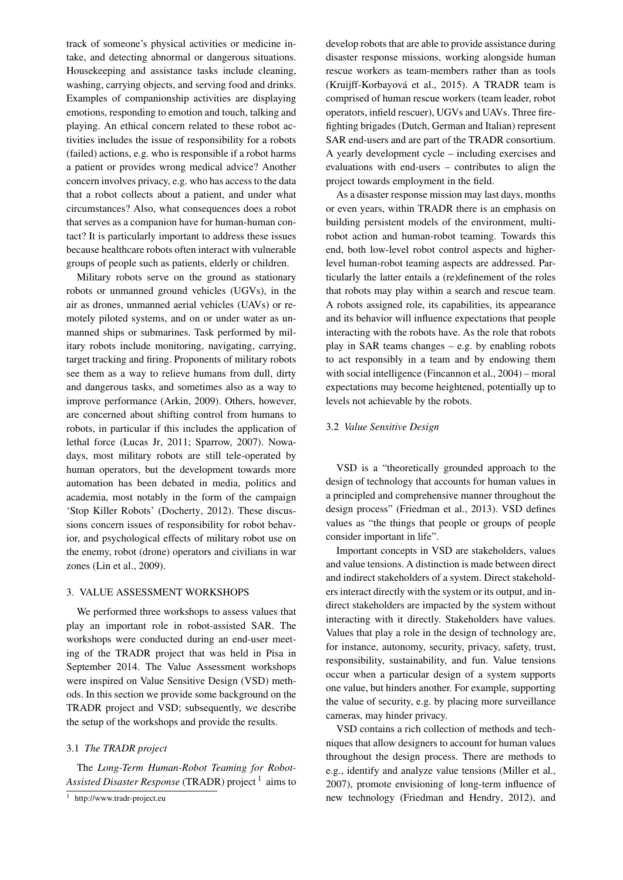track of someone's physical activities or medicine intake, and detecting abnormal or dangerous situations. Housekeeping and assistance tasks include cleaning, washing, carrying objects, and serving food and drinks. Examples of companionship activities are displaying emotions, responding to emotion and touch, talking and playing. An ethical concern related to these robot activities includes the issue of responsibility for a robots (failed) actions, e.g. who is responsible if a robot harms a patient or provides wrong medical advice? Another concern involves privacy, e.g. who has access to the data that a robot collects about a patient, and under what circumstances? Also, what consequences does a robot that serves as a companion have for human-human contact? It is particularly important to address these issues because healthcare robots often interact with vulnerable groups of people such as patients, elderly or children.

Military robots serve on the ground as stationary robots or unmanned ground vehicles (UGVs), in the air as drones, unmanned aerial vehicles (UAVs) or remotely piloted systems, and on or under water as unmanned ships or submarines. Task performed by military robots include monitoring, navigating, carrying, target tracking and firing. Proponents of military robots see them as a way to relieve humans from dull, dirty and dangerous tasks, and sometimes also as a way to improve performance (Arkin, 2009). Others, however, are concerned about shifting control from humans to robots, in particular if this includes the application of lethal force (Lucas Jr, 2011; Sparrow, 2007). Nowadays, most military robots are still tele-operated by human operators, but the development towards more automation has been debated in media, politics and academia, most notably in the form of the campaign 'Stop Killer Robots' (Docherty, 2012). These discussions concern issues of responsibility for robot behavior, and psychological effects of military robot use on the enemy, robot (drone) operators and civilians in war zones (Lin et al., 2009).

#### 3. VALUE ASSESSMENT WORKSHOPS

We performed three workshops to assess values that play an important role in robot-assisted SAR. The workshops were conducted during an end-user meeting of the TRADR project that was held in Pisa in September 2014. The Value Assessment workshops were inspired on Value Sensitive Design (VSD) methods. In this section we provide some background on the TRADR project and VSD; subsequently, we describe the setup of the workshops and provide the results.

#### 3.1 *The TRADR project*

The *Long-Term Human-Robot Teaming for Robot-*Assisted Disaster Response (TRADR) project <sup>1</sup> aims to develop robots that are able to provide assistance during disaster response missions, working alongside human rescue workers as team-members rather than as tools (Kruijff-Korbayová et al., 2015). A TRADR team is comprised of human rescue workers (team leader, robot operators, infield rescuer), UGVs and UAVs. Three firefighting brigades (Dutch, German and Italian) represent SAR end-users and are part of the TRADR consortium. A yearly development cycle – including exercises and evaluations with end-users – contributes to align the project towards employment in the field.

As a disaster response mission may last days, months or even years, within TRADR there is an emphasis on building persistent models of the environment, multirobot action and human-robot teaming. Towards this end, both low-level robot control aspects and higherlevel human-robot teaming aspects are addressed. Particularly the latter entails a (re)definement of the roles that robots may play within a search and rescue team. A robots assigned role, its capabilities, its appearance and its behavior will influence expectations that people interacting with the robots have. As the role that robots play in SAR teams changes – e.g. by enabling robots to act responsibly in a team and by endowing them with social intelligence (Fincannon et al., 2004) – moral expectations may become heightened, potentially up to levels not achievable by the robots.

#### 3.2 *Value Sensitive Design*

VSD is a "theoretically grounded approach to the design of technology that accounts for human values in a principled and comprehensive manner throughout the design process" (Friedman et al., 2013). VSD defines values as "the things that people or groups of people consider important in life".

Important concepts in VSD are stakeholders, values and value tensions. A distinction is made between direct and indirect stakeholders of a system. Direct stakeholders interact directly with the system or its output, and indirect stakeholders are impacted by the system without interacting with it directly. Stakeholders have values. Values that play a role in the design of technology are, for instance, autonomy, security, privacy, safety, trust, responsibility, sustainability, and fun. Value tensions occur when a particular design of a system supports one value, but hinders another. For example, supporting the value of security, e.g. by placing more surveillance cameras, may hinder privacy.

VSD contains a rich collection of methods and techniques that allow designers to account for human values throughout the design process. There are methods to e.g., identify and analyze value tensions (Miller et al., 2007), promote envisioning of long-term influence of new technology (Friedman and Hendry, 2012), and

<sup>1</sup> http://www.tradr-project.eu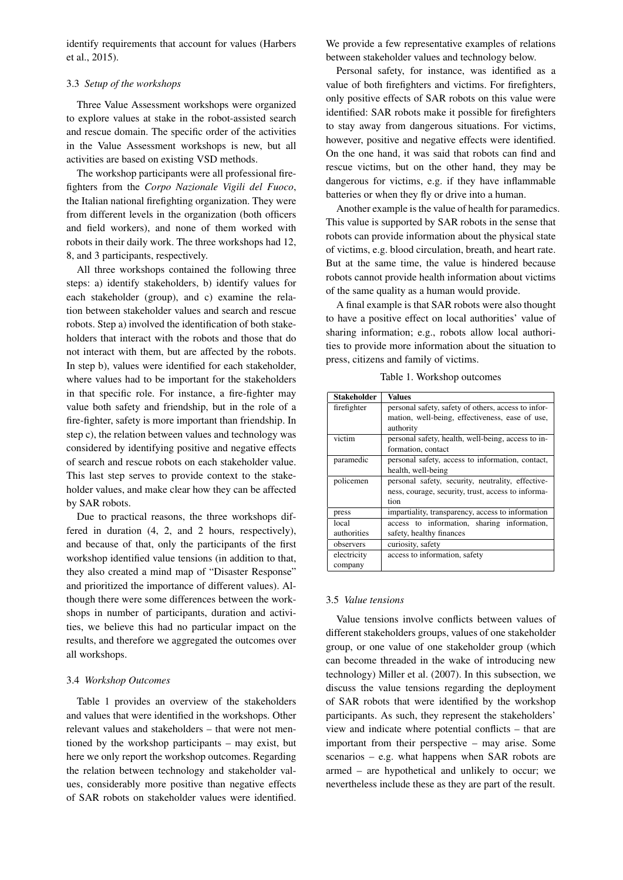identify requirements that account for values (Harbers et al., 2015).

#### 3.3 *Setup of the workshops*

Three Value Assessment workshops were organized to explore values at stake in the robot-assisted search and rescue domain. The specific order of the activities in the Value Assessment workshops is new, but all activities are based on existing VSD methods.

The workshop participants were all professional firefighters from the *Corpo Nazionale Vigili del Fuoco*, the Italian national firefighting organization. They were from different levels in the organization (both officers and field workers), and none of them worked with robots in their daily work. The three workshops had 12, 8, and 3 participants, respectively.

All three workshops contained the following three steps: a) identify stakeholders, b) identify values for each stakeholder (group), and c) examine the relation between stakeholder values and search and rescue robots. Step a) involved the identification of both stakeholders that interact with the robots and those that do not interact with them, but are affected by the robots. In step b), values were identified for each stakeholder, where values had to be important for the stakeholders in that specific role. For instance, a fire-fighter may value both safety and friendship, but in the role of a fire-fighter, safety is more important than friendship. In step c), the relation between values and technology was considered by identifying positive and negative effects of search and rescue robots on each stakeholder value. This last step serves to provide context to the stakeholder values, and make clear how they can be affected by SAR robots.

Due to practical reasons, the three workshops differed in duration (4, 2, and 2 hours, respectively), and because of that, only the participants of the first workshop identified value tensions (in addition to that, they also created a mind map of "Disaster Response" and prioritized the importance of different values). Although there were some differences between the workshops in number of participants, duration and activities, we believe this had no particular impact on the results, and therefore we aggregated the outcomes over all workshops.

#### 3.4 *Workshop Outcomes*

Table 1 provides an overview of the stakeholders and values that were identified in the workshops. Other relevant values and stakeholders – that were not mentioned by the workshop participants – may exist, but here we only report the workshop outcomes. Regarding the relation between technology and stakeholder values, considerably more positive than negative effects of SAR robots on stakeholder values were identified.

We provide a few representative examples of relations between stakeholder values and technology below.

Personal safety, for instance, was identified as a value of both firefighters and victims. For firefighters, only positive effects of SAR robots on this value were identified: SAR robots make it possible for firefighters to stay away from dangerous situations. For victims, however, positive and negative effects were identified. On the one hand, it was said that robots can find and rescue victims, but on the other hand, they may be dangerous for victims, e.g. if they have inflammable batteries or when they fly or drive into a human.

Another example is the value of health for paramedics. This value is supported by SAR robots in the sense that robots can provide information about the physical state of victims, e.g. blood circulation, breath, and heart rate. But at the same time, the value is hindered because robots cannot provide health information about victims of the same quality as a human would provide.

A final example is that SAR robots were also thought to have a positive effect on local authorities' value of sharing information; e.g., robots allow local authorities to provide more information about the situation to press, citizens and family of victims.

Table 1. Workshop outcomes

| <b>Stakeholder</b> | Values                                              |
|--------------------|-----------------------------------------------------|
| firefighter        | personal safety, safety of others, access to infor- |
|                    | mation, well-being, effectiveness, ease of use,     |
|                    | authority                                           |
| victim             | personal safety, health, well-being, access to in-  |
|                    | formation, contact                                  |
| paramedic          | personal safety, access to information, contact,    |
|                    | health, well-being                                  |
| policemen          | personal safety, security, neutrality, effective-   |
|                    | ness, courage, security, trust, access to informa-  |
|                    | tion                                                |
| press              | impartiality, transparency, access to information   |
| local              | access to information, sharing information,         |
| authorities        | safety, healthy finances                            |
| observers          | curiosity, safety                                   |
| electricity        | access to information, safety                       |
| company            |                                                     |

#### 3.5 *Value tensions*

Value tensions involve conflicts between values of different stakeholders groups, values of one stakeholder group, or one value of one stakeholder group (which can become threaded in the wake of introducing new technology) Miller et al. (2007). In this subsection, we discuss the value tensions regarding the deployment of SAR robots that were identified by the workshop participants. As such, they represent the stakeholders' view and indicate where potential conflicts – that are important from their perspective – may arise. Some scenarios – e.g. what happens when SAR robots are armed – are hypothetical and unlikely to occur; we nevertheless include these as they are part of the result.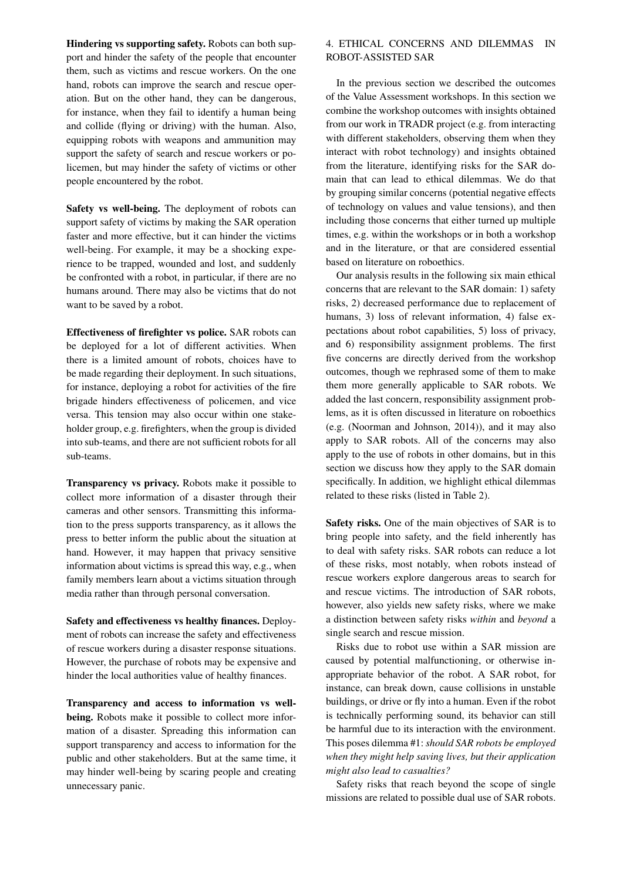Hindering vs supporting safety. Robots can both support and hinder the safety of the people that encounter them, such as victims and rescue workers. On the one hand, robots can improve the search and rescue operation. But on the other hand, they can be dangerous, for instance, when they fail to identify a human being and collide (flying or driving) with the human. Also, equipping robots with weapons and ammunition may support the safety of search and rescue workers or policemen, but may hinder the safety of victims or other people encountered by the robot.

Safety vs well-being. The deployment of robots can support safety of victims by making the SAR operation faster and more effective, but it can hinder the victims well-being. For example, it may be a shocking experience to be trapped, wounded and lost, and suddenly be confronted with a robot, in particular, if there are no humans around. There may also be victims that do not want to be saved by a robot.

Effectiveness of firefighter vs police. SAR robots can be deployed for a lot of different activities. When there is a limited amount of robots, choices have to be made regarding their deployment. In such situations, for instance, deploying a robot for activities of the fire brigade hinders effectiveness of policemen, and vice versa. This tension may also occur within one stakeholder group, e.g. firefighters, when the group is divided into sub-teams, and there are not sufficient robots for all sub-teams.

Transparency vs privacy. Robots make it possible to collect more information of a disaster through their cameras and other sensors. Transmitting this information to the press supports transparency, as it allows the press to better inform the public about the situation at hand. However, it may happen that privacy sensitive information about victims is spread this way, e.g., when family members learn about a victims situation through media rather than through personal conversation.

Safety and effectiveness vs healthy finances. Deployment of robots can increase the safety and effectiveness of rescue workers during a disaster response situations. However, the purchase of robots may be expensive and hinder the local authorities value of healthy finances.

Transparency and access to information vs wellbeing. Robots make it possible to collect more information of a disaster. Spreading this information can support transparency and access to information for the public and other stakeholders. But at the same time, it may hinder well-being by scaring people and creating unnecessary panic.

# 4. ETHICAL CONCERNS AND DILEMMAS IN ROBOT-ASSISTED SAR

In the previous section we described the outcomes of the Value Assessment workshops. In this section we combine the workshop outcomes with insights obtained from our work in TRADR project (e.g. from interacting with different stakeholders, observing them when they interact with robot technology) and insights obtained from the literature, identifying risks for the SAR domain that can lead to ethical dilemmas. We do that by grouping similar concerns (potential negative effects of technology on values and value tensions), and then including those concerns that either turned up multiple times, e.g. within the workshops or in both a workshop and in the literature, or that are considered essential based on literature on roboethics.

Our analysis results in the following six main ethical concerns that are relevant to the SAR domain: 1) safety risks, 2) decreased performance due to replacement of humans, 3) loss of relevant information, 4) false expectations about robot capabilities, 5) loss of privacy, and 6) responsibility assignment problems. The first five concerns are directly derived from the workshop outcomes, though we rephrased some of them to make them more generally applicable to SAR robots. We added the last concern, responsibility assignment problems, as it is often discussed in literature on roboethics (e.g. (Noorman and Johnson, 2014)), and it may also apply to SAR robots. All of the concerns may also apply to the use of robots in other domains, but in this section we discuss how they apply to the SAR domain specifically. In addition, we highlight ethical dilemmas related to these risks (listed in Table 2).

Safety risks. One of the main objectives of SAR is to bring people into safety, and the field inherently has to deal with safety risks. SAR robots can reduce a lot of these risks, most notably, when robots instead of rescue workers explore dangerous areas to search for and rescue victims. The introduction of SAR robots, however, also yields new safety risks, where we make a distinction between safety risks *within* and *beyond* a single search and rescue mission.

Risks due to robot use within a SAR mission are caused by potential malfunctioning, or otherwise inappropriate behavior of the robot. A SAR robot, for instance, can break down, cause collisions in unstable buildings, or drive or fly into a human. Even if the robot is technically performing sound, its behavior can still be harmful due to its interaction with the environment. This poses dilemma #1: *should SAR robots be employed when they might help saving lives, but their application might also lead to casualties?*

Safety risks that reach beyond the scope of single missions are related to possible dual use of SAR robots.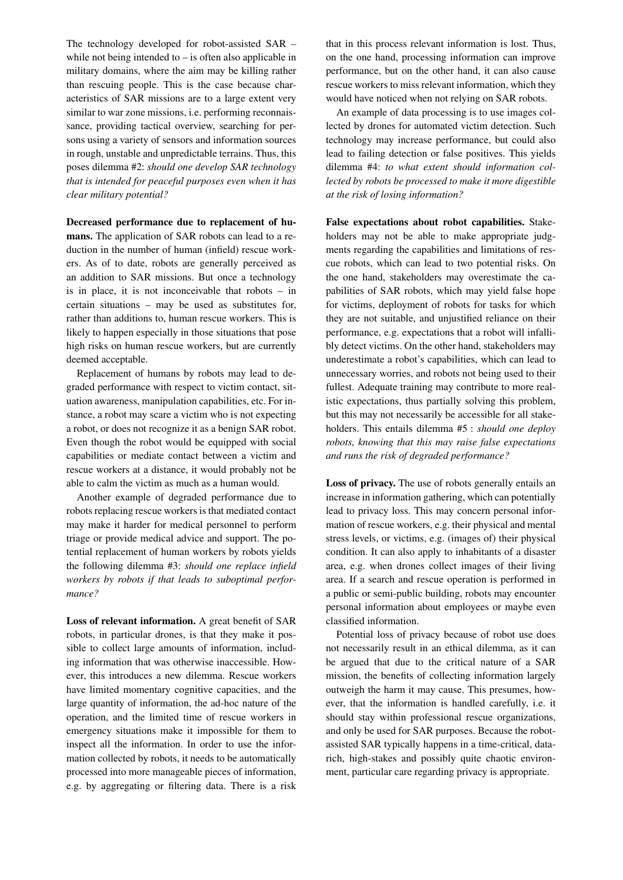The technology developed for robot-assisted SAR – while not being intended to  $-$  is often also applicable in military domains, where the aim may be killing rather than rescuing people. This is the case because characteristics of SAR missions are to a large extent very similar to war zone missions, i.e. performing reconnaissance, providing tactical overview, searching for persons using a variety of sensors and information sources in rough, unstable and unpredictable terrains. Thus, this poses dilemma #2: *should one develop SAR technology that is intended for peaceful purposes even when it has clear military potential?*

Decreased performance due to replacement of humans. The application of SAR robots can lead to a reduction in the number of human (infield) rescue workers. As of to date, robots are generally perceived as an addition to SAR missions. But once a technology is in place, it is not inconceivable that robots – in certain situations – may be used as substitutes for, rather than additions to, human rescue workers. This is likely to happen especially in those situations that pose high risks on human rescue workers, but are currently deemed acceptable.

Replacement of humans by robots may lead to degraded performance with respect to victim contact, situation awareness, manipulation capabilities, etc. For instance, a robot may scare a victim who is not expecting a robot, or does not recognize it as a benign SAR robot. Even though the robot would be equipped with social capabilities or mediate contact between a victim and rescue workers at a distance, it would probably not be able to calm the victim as much as a human would.

Another example of degraded performance due to robots replacing rescue workers is that mediated contact may make it harder for medical personnel to perform triage or provide medical advice and support. The potential replacement of human workers by robots yields the following dilemma #3: *should one replace infield workers by robots if that leads to suboptimal performance?*

Loss of relevant information. A great benefit of SAR robots, in particular drones, is that they make it possible to collect large amounts of information, including information that was otherwise inaccessible. However, this introduces a new dilemma. Rescue workers have limited momentary cognitive capacities, and the large quantity of information, the ad-hoc nature of the operation, and the limited time of rescue workers in emergency situations make it impossible for them to inspect all the information. In order to use the information collected by robots, it needs to be automatically processed into more manageable pieces of information, e.g. by aggregating or filtering data. There is a risk

that in this process relevant information is lost. Thus, on the one hand, processing information can improve performance, but on the other hand, it can also cause rescue workers to miss relevant information, which they would have noticed when not relying on SAR robots.

An example of data processing is to use images collected by drones for automated victim detection. Such technology may increase performance, but could also lead to failing detection or false positives. This yields dilemma #4: *to what extent should information collected by robots be processed to make it more digestible at the risk of losing information?*

False expectations about robot capabilities. Stakeholders may not be able to make appropriate judgments regarding the capabilities and limitations of rescue robots, which can lead to two potential risks. On the one hand, stakeholders may overestimate the capabilities of SAR robots, which may yield false hope for victims, deployment of robots for tasks for which they are not suitable, and unjustified reliance on their performance, e.g. expectations that a robot will infallibly detect victims. On the other hand, stakeholders may underestimate a robot's capabilities, which can lead to unnecessary worries, and robots not being used to their fullest. Adequate training may contribute to more realistic expectations, thus partially solving this problem, but this may not necessarily be accessible for all stakeholders. This entails dilemma #5 : *should one deploy robots, knowing that this may raise false expectations and runs the risk of degraded performance?*

Loss of privacy. The use of robots generally entails an increase in information gathering, which can potentially lead to privacy loss. This may concern personal information of rescue workers, e.g. their physical and mental stress levels, or victims, e.g. (images of) their physical condition. It can also apply to inhabitants of a disaster area, e.g. when drones collect images of their living area. If a search and rescue operation is performed in a public or semi-public building, robots may encounter personal information about employees or maybe even classified information.

Potential loss of privacy because of robot use does not necessarily result in an ethical dilemma, as it can be argued that due to the critical nature of a SAR mission, the benefits of collecting information largely outweigh the harm it may cause. This presumes, however, that the information is handled carefully, i.e. it should stay within professional rescue organizations, and only be used for SAR purposes. Because the robotassisted SAR typically happens in a time-critical, datarich, high-stakes and possibly quite chaotic environment, particular care regarding privacy is appropriate.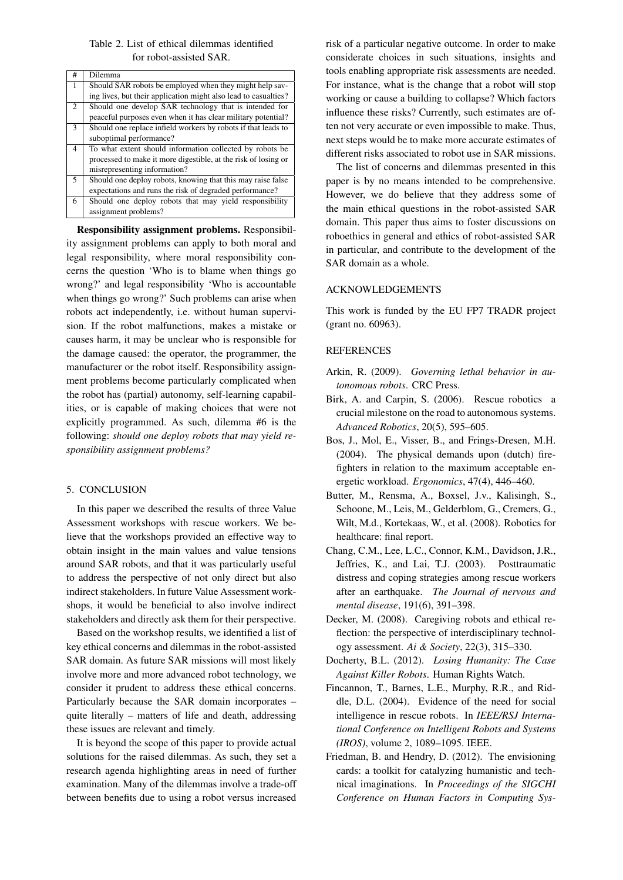# Table 2. List of ethical dilemmas identified for robot-assisted SAR.

| #              | Dilemma                                                         |
|----------------|-----------------------------------------------------------------|
| $\mathbf{1}$   | Should SAR robots be employed when they might help say-         |
|                | ing lives, but their application might also lead to casualties? |
| $\overline{2}$ | Should one develop SAR technology that is intended for          |
|                | peaceful purposes even when it has clear military potential?    |
| 3              | Should one replace infield workers by robots if that leads to   |
|                | suboptimal performance?                                         |
| 4              | To what extent should information collected by robots be        |
|                | processed to make it more digestible, at the risk of losing or  |
|                | misrepresenting information?                                    |
| 5              | Should one deploy robots, knowing that this may raise false     |
|                | expectations and runs the risk of degraded performance?         |
| 6              | Should one deploy robots that may yield responsibility          |
|                | assignment problems?                                            |

Responsibility assignment problems. Responsibility assignment problems can apply to both moral and legal responsibility, where moral responsibility concerns the question 'Who is to blame when things go wrong?' and legal responsibility 'Who is accountable when things go wrong?' Such problems can arise when robots act independently, i.e. without human supervision. If the robot malfunctions, makes a mistake or causes harm, it may be unclear who is responsible for the damage caused: the operator, the programmer, the manufacturer or the robot itself. Responsibility assignment problems become particularly complicated when the robot has (partial) autonomy, self-learning capabilities, or is capable of making choices that were not explicitly programmed. As such, dilemma #6 is the following: *should one deploy robots that may yield responsibility assignment problems?*

#### 5. CONCLUSION

In this paper we described the results of three Value Assessment workshops with rescue workers. We believe that the workshops provided an effective way to obtain insight in the main values and value tensions around SAR robots, and that it was particularly useful to address the perspective of not only direct but also indirect stakeholders. In future Value Assessment workshops, it would be beneficial to also involve indirect stakeholders and directly ask them for their perspective.

Based on the workshop results, we identified a list of key ethical concerns and dilemmas in the robot-assisted SAR domain. As future SAR missions will most likely involve more and more advanced robot technology, we consider it prudent to address these ethical concerns. Particularly because the SAR domain incorporates – quite literally – matters of life and death, addressing these issues are relevant and timely.

It is beyond the scope of this paper to provide actual solutions for the raised dilemmas. As such, they set a research agenda highlighting areas in need of further examination. Many of the dilemmas involve a trade-off between benefits due to using a robot versus increased

risk of a particular negative outcome. In order to make considerate choices in such situations, insights and tools enabling appropriate risk assessments are needed. For instance, what is the change that a robot will stop working or cause a building to collapse? Which factors influence these risks? Currently, such estimates are often not very accurate or even impossible to make. Thus, next steps would be to make more accurate estimates of different risks associated to robot use in SAR missions.

The list of concerns and dilemmas presented in this paper is by no means intended to be comprehensive. However, we do believe that they address some of the main ethical questions in the robot-assisted SAR domain. This paper thus aims to foster discussions on roboethics in general and ethics of robot-assisted SAR in particular, and contribute to the development of the SAR domain as a whole.

### ACKNOWLEDGEMENTS

This work is funded by the EU FP7 TRADR project (grant no. 60963).

#### **REFERENCES**

- Arkin, R. (2009). *Governing lethal behavior in autonomous robots*. CRC Press.
- Birk, A. and Carpin, S. (2006). Rescue robotics a crucial milestone on the road to autonomous systems. *Advanced Robotics*, 20(5), 595–605.
- Bos, J., Mol, E., Visser, B., and Frings-Dresen, M.H. (2004). The physical demands upon (dutch) firefighters in relation to the maximum acceptable energetic workload. *Ergonomics*, 47(4), 446–460.
- Butter, M., Rensma, A., Boxsel, J.v., Kalisingh, S., Schoone, M., Leis, M., Gelderblom, G., Cremers, G., Wilt, M.d., Kortekaas, W., et al. (2008). Robotics for healthcare: final report.
- Chang, C.M., Lee, L.C., Connor, K.M., Davidson, J.R., Jeffries, K., and Lai, T.J. (2003). Posttraumatic distress and coping strategies among rescue workers after an earthquake. *The Journal of nervous and mental disease*, 191(6), 391–398.
- Decker, M. (2008). Caregiving robots and ethical reflection: the perspective of interdisciplinary technology assessment. *Ai & Society*, 22(3), 315–330.
- Docherty, B.L. (2012). *Losing Humanity: The Case Against Killer Robots*. Human Rights Watch.
- Fincannon, T., Barnes, L.E., Murphy, R.R., and Riddle, D.L. (2004). Evidence of the need for social intelligence in rescue robots. In *IEEE/RSJ International Conference on Intelligent Robots and Systems (IROS)*, volume 2, 1089–1095. IEEE.
- Friedman, B. and Hendry, D. (2012). The envisioning cards: a toolkit for catalyzing humanistic and technical imaginations. In *Proceedings of the SIGCHI Conference on Human Factors in Computing Sys-*